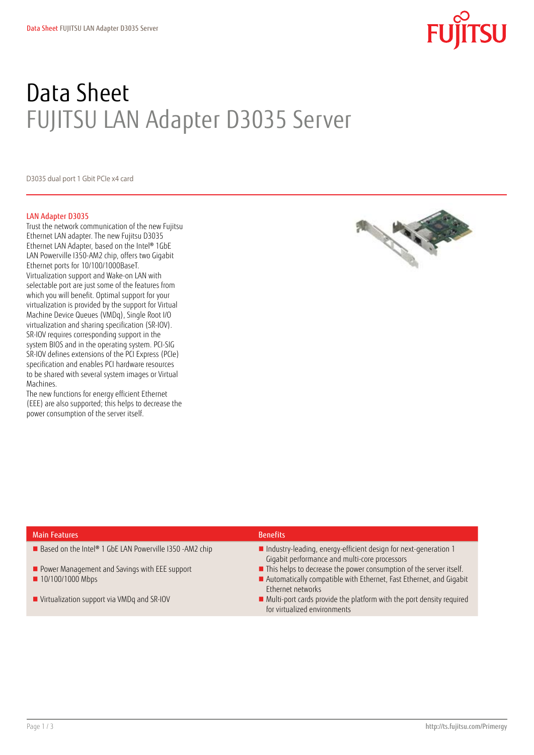# Data Sheet FUJITSU LAN Adapter D3035 Server

D3035 dual port 1 Gbit PCIe x4 card

#### LAN Adapter D3035

Trust the network communication of the new Fujitsu Ethernet LAN adapter. The new Fujitsu D3035 Ethernet LAN Adapter, based on the Intel® 1GbE LAN Powerville I350-AM2 chip, offers two Gigabit Ethernet ports for 10/100/1000BaseT. Virtualization support and Wake-on LAN with selectable port are just some of the features from which you will benefit. Optimal support for your virtualization is provided by the support for Virtual Machine Device Queues (VMDq), Single Root I/O virtualization and sharing specification (SR-IOV). SR-IOV requires corresponding support in the system BIOS and in the operating system. PCI-SIG SR-IOV defines extensions of the PCI Express (PCIe) specification and enables PCI hardware resources to be shared with several system images or Virtual Machines.

The new functions for energy efficient Ethernet (EEE) are also supported; this helps to decrease the power consumption of the server itself.



### Main Features Benefits and the contract of the contract of the Benefits Benefits

- 
- 
- 
- 

- Based on the Intel® 1 GbE LAN Powerville I350 -AM2 chip Industry-leading, energy-efficient design for next-generation 1 Gigabit performance and multi-core processors
- Power Management and Savings with EEE support  **This helps to decrease the power consumption of the server itself.**
- 10/100/1000 Mbps **Automatically compatible with Ethernet**, Fast Ethernet, and Gigabit Ethernet networks
- Virtualization support via VMDq and SR-IOV **Multi-port cards provide the platform with the port density required** for virtualized environments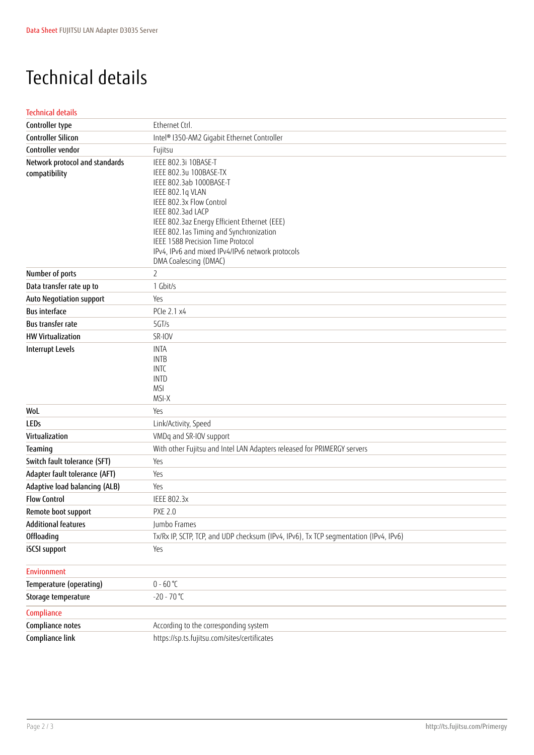## Technical details

#### Technical details

| Controller type                                 | Ethernet Ctrl.                                                                                                                                                                                                                                                                                                                                              |
|-------------------------------------------------|-------------------------------------------------------------------------------------------------------------------------------------------------------------------------------------------------------------------------------------------------------------------------------------------------------------------------------------------------------------|
| <b>Controller Silicon</b>                       | Intel® I350-AM2 Gigabit Ethernet Controller                                                                                                                                                                                                                                                                                                                 |
| Controller vendor                               | Fujitsu                                                                                                                                                                                                                                                                                                                                                     |
| Network protocol and standards<br>compatibility | IEEE 802.3i 10BASE-T<br>IEEE 802.3u 100BASE-TX<br>IEEE 802.3ab 1000BASE-T<br>IEEE 802.1q VLAN<br>IEEE 802.3x Flow Control<br>IEEE 802.3ad LACP<br>IEEE 802.3az Energy Efficient Ethernet (EEE)<br>IEEE 802.1as Timing and Synchronization<br>IEEE 1588 Precision Time Protocol<br>IPv4, IPv6 and mixed IPv4/IPv6 network protocols<br>DMA Coalescing (DMAC) |
| Number of ports                                 | $\overline{2}$                                                                                                                                                                                                                                                                                                                                              |
| Data transfer rate up to                        | 1 Gbit/s                                                                                                                                                                                                                                                                                                                                                    |
| Auto Negotiation support                        | Yes                                                                                                                                                                                                                                                                                                                                                         |
| <b>Bus interface</b>                            | PCle 2.1 x4                                                                                                                                                                                                                                                                                                                                                 |
| <b>Bus transfer rate</b>                        | 5GT/s                                                                                                                                                                                                                                                                                                                                                       |
| <b>HW Virtualization</b>                        | SR-IOV                                                                                                                                                                                                                                                                                                                                                      |
| <b>Interrupt Levels</b>                         | <b>INTA</b><br><b>INTB</b><br><b>INTC</b><br><b>INTD</b><br><b>MSI</b><br>MSI-X                                                                                                                                                                                                                                                                             |
| WoL                                             | Yes                                                                                                                                                                                                                                                                                                                                                         |
| <b>LEDs</b>                                     | Link/Activity, Speed                                                                                                                                                                                                                                                                                                                                        |
| Virtualization                                  | VMDq and SR-IOV support                                                                                                                                                                                                                                                                                                                                     |
| Teaming                                         | With other Fujitsu and Intel LAN Adapters released for PRIMERGY servers                                                                                                                                                                                                                                                                                     |
| Switch fault tolerance (SFT)                    | Yes                                                                                                                                                                                                                                                                                                                                                         |
| Adapter fault tolerance (AFT)                   | Yes                                                                                                                                                                                                                                                                                                                                                         |
| Adaptive load balancing (ALB)                   | Yes                                                                                                                                                                                                                                                                                                                                                         |
| <b>Flow Control</b>                             | <b>IEEE 802.3x</b>                                                                                                                                                                                                                                                                                                                                          |
| Remote boot support                             | <b>PXE 2.0</b>                                                                                                                                                                                                                                                                                                                                              |
| <b>Additional features</b>                      | Jumbo Frames                                                                                                                                                                                                                                                                                                                                                |
| Offloading                                      | Tx/Rx IP, SCTP, TCP, and UDP checksum (IPv4, IPv6), Tx TCP segmentation (IPv4, IPv6)                                                                                                                                                                                                                                                                        |
| iSCSI support                                   | Yes                                                                                                                                                                                                                                                                                                                                                         |
| <b>Environment</b>                              |                                                                                                                                                                                                                                                                                                                                                             |
| Temperature (operating)                         | $0 - 60 °C$                                                                                                                                                                                                                                                                                                                                                 |
| Storage temperature                             | $-20 - 70$ °C                                                                                                                                                                                                                                                                                                                                               |
| Compliance                                      |                                                                                                                                                                                                                                                                                                                                                             |
| Compliance notes                                | According to the corresponding system                                                                                                                                                                                                                                                                                                                       |
| Compliance link                                 | https://sp.ts.fujitsu.com/sites/certificates                                                                                                                                                                                                                                                                                                                |